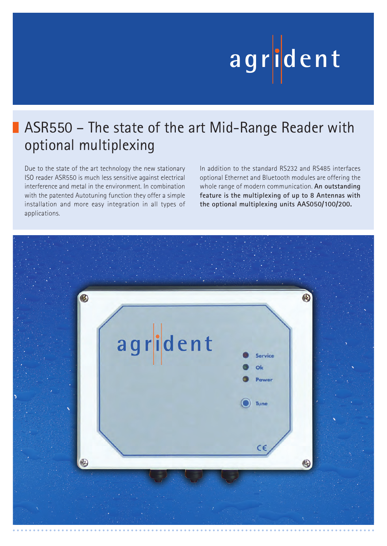# **ag r iden t**

## ASR550 – The state of the art Mid-Range Reader with optional multiplexing

Due to the state of the art technology the new stationary ISO reader ASR550 is much less sensitive against electrical interference and metal in the environment. In combination with the patented Autotuning function they offer a simple installation and more easy integration in all types of applications.

In addition to the standard RS232 and RS485 interfaces optional Ethernet and Bluetooth modules are offering the whole range of modern communication. **An outstanding feature is the multiplexing of up to 8 Antennas with the optional multiplexing units AAS050/100/200.**